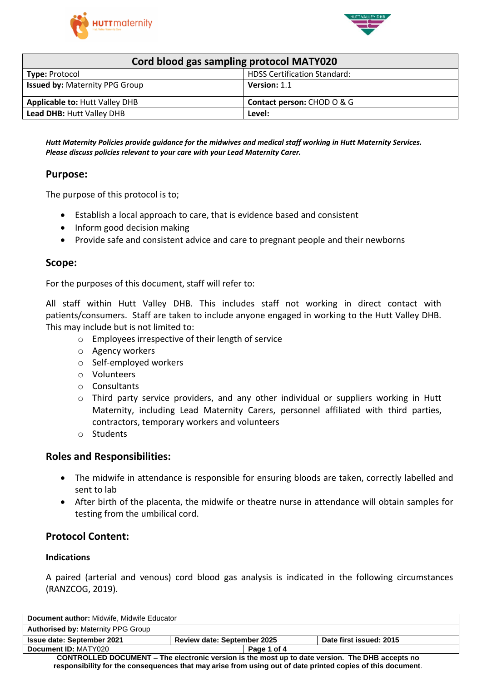



| Cord blood gas sampling protocol MATY020 |                                       |  |  |
|------------------------------------------|---------------------------------------|--|--|
| <b>Type: Protocol</b>                    | <b>HDSS Certification Standard:</b>   |  |  |
| <b>Issued by: Maternity PPG Group</b>    | Version: 1.1                          |  |  |
| <b>Applicable to: Hutt Valley DHB</b>    | <b>Contact person: CHOD O &amp; G</b> |  |  |
| Lead DHB: Hutt Valley DHB                | Level:                                |  |  |

*Hutt Maternity Policies provide guidance for the midwives and medical staff working in Hutt Maternity Services. Please discuss policies relevant to your care with your Lead Maternity Carer.*

### **Purpose:**

The purpose of this protocol is to;

- Establish a local approach to care, that is evidence based and consistent
- Inform good decision making
- Provide safe and consistent advice and care to pregnant people and their newborns

#### **Scope:**

For the purposes of this document, staff will refer to:

All staff within Hutt Valley DHB. This includes staff not working in direct contact with patients/consumers. Staff are taken to include anyone engaged in working to the Hutt Valley DHB. This may include but is not limited to:

- o Employees irrespective of their length of service
- o Agency workers
- o Self-employed workers
- o Volunteers
- o Consultants
- o Third party service providers, and any other individual or suppliers working in Hutt Maternity, including Lead Maternity Carers, personnel affiliated with third parties, contractors, temporary workers and volunteers
- o Students

### **Roles and Responsibilities:**

- The midwife in attendance is responsible for ensuring bloods are taken, correctly labelled and sent to lab
- After birth of the placenta, the midwife or theatre nurse in attendance will obtain samples for testing from the umbilical cord.

# **Protocol Content:**

#### **Indications**

A paired (arterial and venous) cord blood gas analysis is indicated in the following circumstances (RANZCOG, 2019).

| Document author: Midwife, Midwife Educator                                                                 |                                    |  |                         |
|------------------------------------------------------------------------------------------------------------|------------------------------------|--|-------------------------|
| <b>Authorised by: Maternity PPG Group</b>                                                                  |                                    |  |                         |
| <b>Issue date: September 2021</b>                                                                          | <b>Review date: September 2025</b> |  | Date first issued: 2015 |
| Document ID: MATY020                                                                                       | Page 1 of 4                        |  |                         |
| CONTROLLED DOCUMENT - The electronic version is the most up to date version. The DHB accepts no            |                                    |  |                         |
| responsibility for the consequences that may arise from using out of date printed copies of this document. |                                    |  |                         |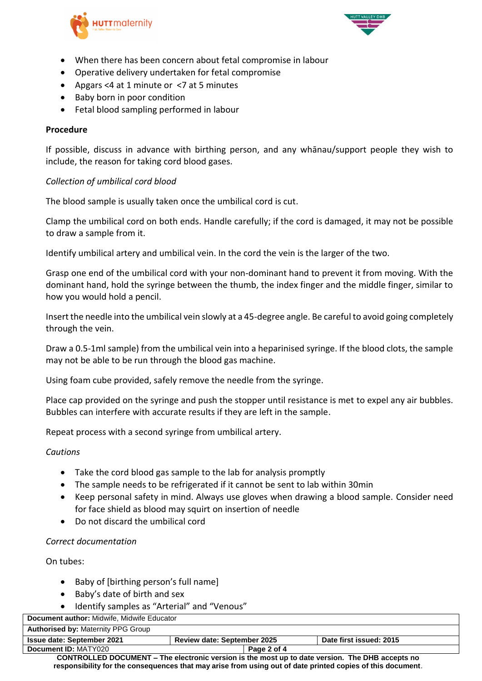



- When there has been concern about fetal compromise in labour
- Operative delivery undertaken for fetal compromise
- Apgars <4 at 1 minute or <7 at 5 minutes
- Baby born in poor condition
- Fetal blood sampling performed in labour

#### **Procedure**

If possible, discuss in advance with birthing person, and any whānau/support people they wish to include, the reason for taking cord blood gases.

#### *Collection of umbilical cord blood*

The blood sample is usually taken once the umbilical cord is cut.

Clamp the umbilical cord on both ends. Handle carefully; if the cord is damaged, it may not be possible to draw a sample from it.

Identify umbilical artery and umbilical vein. In the cord the vein is the larger of the two.

Grasp one end of the umbilical cord with your non-dominant hand to prevent it from moving. With the dominant hand, hold the syringe between the thumb, the index finger and the middle finger, similar to how you would hold a pencil.

Insert the needle into the umbilical vein slowly at a 45-degree angle. Be careful to avoid going completely through the vein.

Draw a 0.5-1ml sample) from the umbilical vein into a heparinised syringe. If the blood clots, the sample may not be able to be run through the blood gas machine.

Using foam cube provided, safely remove the needle from the syringe.

Place cap provided on the syringe and push the stopper until resistance is met to expel any air bubbles. Bubbles can interfere with accurate results if they are left in the sample.

Repeat process with a second syringe from umbilical artery.

### *Cautions*

- Take the cord blood gas sample to the lab for analysis promptly
- The sample needs to be refrigerated if it cannot be sent to lab within 30min
- Keep personal safety in mind. Always use gloves when drawing a blood sample. Consider need for face shield as blood may squirt on insertion of needle
- Do not discard the umbilical cord

#### *Correct documentation*

On tubes:

- Baby of [birthing person's full name]
- Baby's date of birth and sex
- Identify samples as "Arterial" and "Venous"

|  | Document author: Midwife, Midwife Educator |  |
|--|--------------------------------------------|--|
|  |                                            |  |

| <b>Authorised by: Maternity PPG Group</b> |                                    |                         |
|-------------------------------------------|------------------------------------|-------------------------|
| <b>Issue date: September 2021</b>         | <b>Review date: September 2025</b> | Date first issued: 2015 |
| Document ID: MATY020                      | Page 2 of 4                        |                         |
|                                           |                                    |                         |

**CONTROLLED DOCUMENT – The electronic version is the most up to date version. The DHB accepts no responsibility for the consequences that may arise from using out of date printed copies of this document**.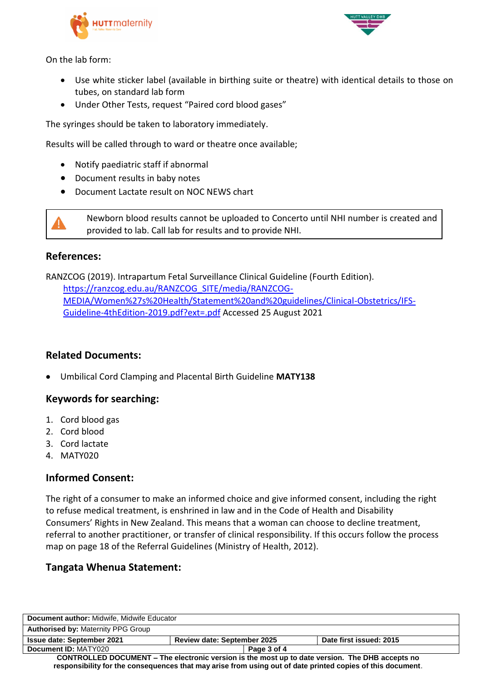



On the lab form:

- Use white sticker label (available in birthing suite or theatre) with identical details to those on tubes, on standard lab form
- Under Other Tests, request "Paired cord blood gases"

The syringes should be taken to laboratory immediately.

Results will be called through to ward or theatre once available;

- Notify paediatric staff if abnormal
- Document results in baby notes
- Document Lactate result on NOC NEWS chart

Newborn blood results cannot be uploaded to Concerto until NHI number is created and provided to lab. Call lab for results and to provide NHI.

## **References:**

RANZCOG (2019). Intrapartum Fetal Surveillance Clinical Guideline (Fourth Edition). [https://ranzcog.edu.au/RANZCOG\\_SITE/media/RANZCOG-](https://ranzcog.edu.au/RANZCOG_SITE/media/RANZCOG-MEDIA/Women%27s%20Health/Statement%20and%20guidelines/Clinical-Obstetrics/IFS-Guideline-4thEdition-2019.pdf?ext=.pdf)[MEDIA/Women%27s%20Health/Statement%20and%20guidelines/Clinical-Obstetrics/IFS-](https://ranzcog.edu.au/RANZCOG_SITE/media/RANZCOG-MEDIA/Women%27s%20Health/Statement%20and%20guidelines/Clinical-Obstetrics/IFS-Guideline-4thEdition-2019.pdf?ext=.pdf)[Guideline-4thEdition-2019.pdf?ext=.pdf](https://ranzcog.edu.au/RANZCOG_SITE/media/RANZCOG-MEDIA/Women%27s%20Health/Statement%20and%20guidelines/Clinical-Obstetrics/IFS-Guideline-4thEdition-2019.pdf?ext=.pdf) Accessed 25 August 2021

# **Related Documents:**

Umbilical Cord Clamping and Placental Birth Guideline **MATY138**

### **Keywords for searching:**

- 1. Cord blood gas
- 2. Cord blood
- 3. Cord lactate
- 4. MATY020

# **Informed Consent:**

The right of a consumer to make an informed choice and give informed consent, including the right to refuse medical treatment, is enshrined in law and in the Code of Health and Disability Consumers' Rights in New Zealand. This means that a woman can choose to decline treatment, referral to another practitioner, or transfer of clinical responsibility. If this occurs follow the process map on page 18 of the Referral Guidelines (Ministry of Health, 2012).

### **Tangata Whenua Statement:**

| Document author: Midwife, Midwife Educator                                                                                                                                                                    |                                    |  |                         |
|---------------------------------------------------------------------------------------------------------------------------------------------------------------------------------------------------------------|------------------------------------|--|-------------------------|
| <b>Authorised by: Maternity PPG Group</b>                                                                                                                                                                     |                                    |  |                         |
| <b>Issue date: September 2021</b>                                                                                                                                                                             | <b>Review date: September 2025</b> |  | Date first issued: 2015 |
| Document ID: MATY020                                                                                                                                                                                          | Page 3 of 4                        |  |                         |
| CONTROLLED DOCUMENT - The electronic version is the most up to date version. The DHB accepts no<br>responsibility for the consequences that may arise from using out of date printed copies of this document. |                                    |  |                         |